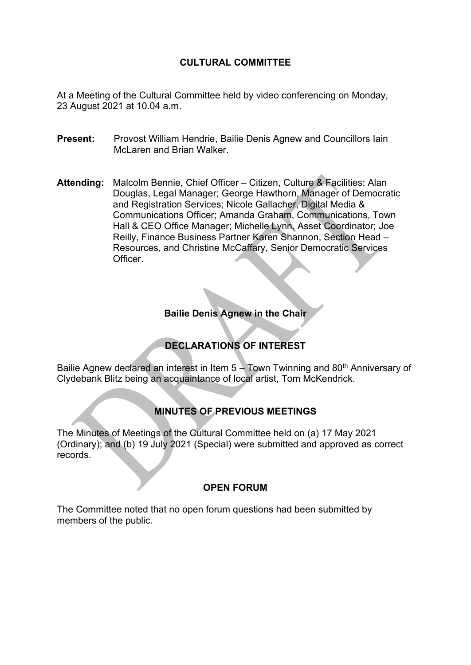#### **CULTURAL COMMITTEE**

At a Meeting of the Cultural Committee held by video conferencing on Monday, 23 August 2021 at 10.04 a.m.

- **Present:** Provost William Hendrie, Bailie Denis Agnew and Councillors Iain McLaren and Brian Walker.
- **Attending:** Malcolm Bennie, Chief Officer Citizen, Culture & Facilities; Alan Douglas, Legal Manager; George Hawthorn, Manager of Democratic and Registration Services; Nicole Gallacher, Digital Media & Communications Officer; Amanda Graham, Communications, Town Hall & CEO Office Manager; Michelle Lynn, Asset Coordinator; Joe Reilly, Finance Business Partner Karen Shannon, Section Head – Resources, and Christine McCaffary, Senior Democratic Services Officer.

### **Bailie Denis Agnew in the Chair**

## **DECLARATIONS OF INTEREST**

Bailie Agnew declared an interest in Item  $5 -$  Town Twinning and 80<sup>th</sup> Anniversary of Clydebank Blitz being an acquaintance of local artist, Tom McKendrick.

## **MINUTES OF PREVIOUS MEETINGS**

The Minutes of Meetings of the Cultural Committee held on (a) 17 May 2021 (Ordinary); and (b) 19 July 2021 (Special) were submitted and approved as correct records.

#### **OPEN FORUM**

The Committee noted that no open forum questions had been submitted by members of the public.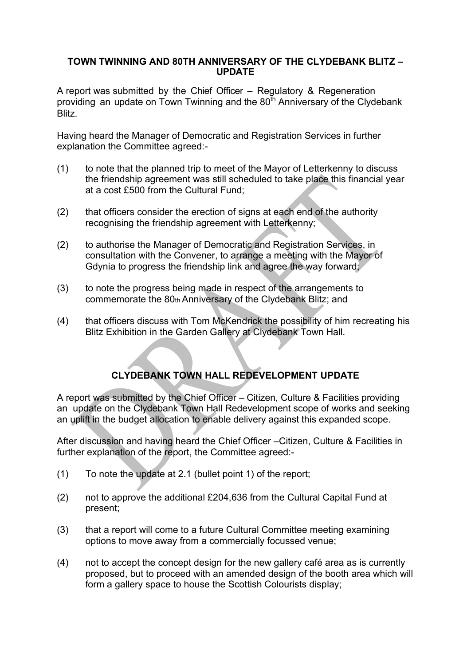#### **TOWN TWINNING AND 80TH ANNIVERSARY OF THE CLYDEBANK BLITZ – UPDATE**

A report was submitted by the Chief Officer – Regulatory & Regeneration providing an update on Town Twinning and the  $80^{th}$  Anniversary of the Clydebank Blitz.

Having heard the Manager of Democratic and Registration Services in further explanation the Committee agreed:-

- (1) to note that the planned trip to meet of the Mayor of Letterkenny to discuss the friendship agreement was still scheduled to take place this financial year at a cost £500 from the Cultural Fund;
- (2) that officers consider the erection of signs at each end of the authority recognising the friendship agreement with Letterkenny;
- (2) to authorise the Manager of Democratic and Registration Services, in consultation with the Convener, to arrange a meeting with the Mayor of Gdynia to progress the friendship link and agree the way forward;
- (3) to note the progress being made in respect of the arrangements to commemorate the 80th Anniversary of the Clydebank Blitz; and
- (4) that officers discuss with Tom McKendrick the possibility of him recreating his Blitz Exhibition in the Garden Gallery at Clydebank Town Hall.

# **CLYDEBANK TOWN HALL REDEVELOPMENT UPDATE**

A report was submitted by the Chief Officer – Citizen, Culture & Facilities providing an update on the Clydebank Town Hall Redevelopment scope of works and seeking an uplift in the budget allocation to enable delivery against this expanded scope.

After discussion and having heard the Chief Officer –Citizen, Culture & Facilities in further explanation of the report, the Committee agreed:-

- (1) To note the update at 2.1 (bullet point 1) of the report;
- (2) not to approve the additional £204,636 from the Cultural Capital Fund at present;
- (3) that a report will come to a future Cultural Committee meeting examining options to move away from a commercially focussed venue;
- (4) not to accept the concept design for the new gallery café area as is currently proposed, but to proceed with an amended design of the booth area which will form a gallery space to house the Scottish Colourists display;